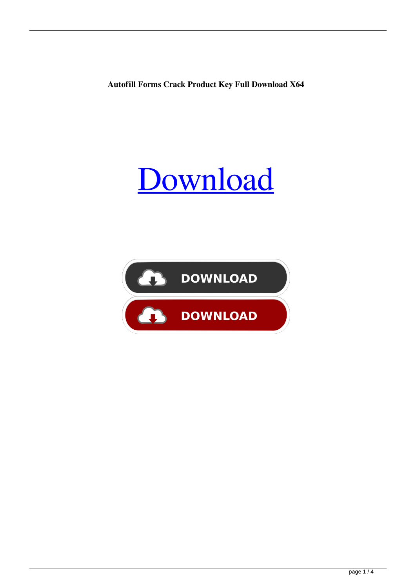**Autofill Forms Crack Product Key Full Download X64**



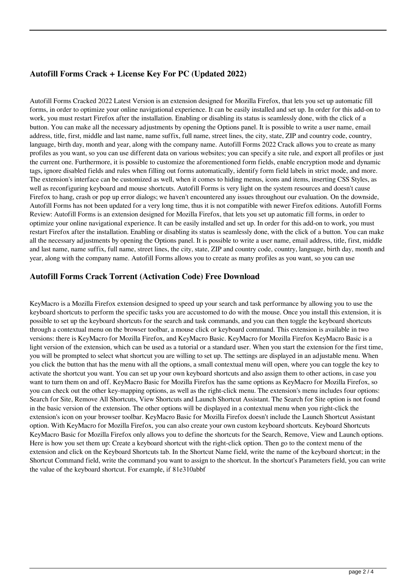# **Autofill Forms Crack + License Key For PC (Updated 2022)**

Autofill Forms Cracked 2022 Latest Version is an extension designed for Mozilla Firefox, that lets you set up automatic fill forms, in order to optimize your online navigational experience. It can be easily installed and set up. In order for this add-on to work, you must restart Firefox after the installation. Enabling or disabling its status is seamlessly done, with the click of a button. You can make all the necessary adjustments by opening the Options panel. It is possible to write a user name, email address, title, first, middle and last name, name suffix, full name, street lines, the city, state, ZIP and country code, country, language, birth day, month and year, along with the company name. Autofill Forms 2022 Crack allows you to create as many profiles as you want, so you can use different data on various websites; you can specify a site rule, and export all profiles or just the current one. Furthermore, it is possible to customize the aforementioned form fields, enable encryption mode and dynamic tags, ignore disabled fields and rules when filling out forms automatically, identify form field labels in strict mode, and more. The extension's interface can be customized as well, when it comes to hiding menus, icons and items, inserting CSS Styles, as well as reconfiguring keyboard and mouse shortcuts. Autofill Forms is very light on the system resources and doesn't cause Firefox to hang, crash or pop up error dialogs; we haven't encountered any issues throughout our evaluation. On the downside, Autofill Forms has not been updated for a very long time, thus it is not compatible with newer Firefox editions. Autofill Forms Review: Autofill Forms is an extension designed for Mozilla Firefox, that lets you set up automatic fill forms, in order to optimize your online navigational experience. It can be easily installed and set up. In order for this add-on to work, you must restart Firefox after the installation. Enabling or disabling its status is seamlessly done, with the click of a button. You can make all the necessary adjustments by opening the Options panel. It is possible to write a user name, email address, title, first, middle and last name, name suffix, full name, street lines, the city, state, ZIP and country code, country, language, birth day, month and year, along with the company name. Autofill Forms allows you to create as many profiles as you want, so you can use

# **Autofill Forms Crack Torrent (Activation Code) Free Download**

KeyMacro is a Mozilla Firefox extension designed to speed up your search and task performance by allowing you to use the keyboard shortcuts to perform the specific tasks you are accustomed to do with the mouse. Once you install this extension, it is possible to set up the keyboard shortcuts for the search and task commands, and you can then toggle the keyboard shortcuts through a contextual menu on the browser toolbar, a mouse click or keyboard command. This extension is available in two versions: there is KeyMacro for Mozilla Firefox, and KeyMacro Basic. KeyMacro for Mozilla Firefox KeyMacro Basic is a light version of the extension, which can be used as a tutorial or a standard user. When you start the extension for the first time, you will be prompted to select what shortcut you are willing to set up. The settings are displayed in an adjustable menu. When you click the button that has the menu with all the options, a small contextual menu will open, where you can toggle the key to activate the shortcut you want. You can set up your own keyboard shortcuts and also assign them to other actions, in case you want to turn them on and off. KeyMacro Basic for Mozilla Firefox has the same options as KeyMacro for Mozilla Firefox, so you can check out the other key-mapping options, as well as the right-click menu. The extension's menu includes four options: Search for Site, Remove All Shortcuts, View Shortcuts and Launch Shortcut Assistant. The Search for Site option is not found in the basic version of the extension. The other options will be displayed in a contextual menu when you right-click the extension's icon on your browser toolbar. KeyMacro Basic for Mozilla Firefox doesn't include the Launch Shortcut Assistant option. With KeyMacro for Mozilla Firefox, you can also create your own custom keyboard shortcuts. Keyboard Shortcuts KeyMacro Basic for Mozilla Firefox only allows you to define the shortcuts for the Search, Remove, View and Launch options. Here is how you set them up: Create a keyboard shortcut with the right-click option. Then go to the context menu of the extension and click on the Keyboard Shortcuts tab. In the Shortcut Name field, write the name of the keyboard shortcut; in the Shortcut Command field, write the command you want to assign to the shortcut. In the shortcut's Parameters field, you can write the value of the keyboard shortcut. For example, if 81e310abbf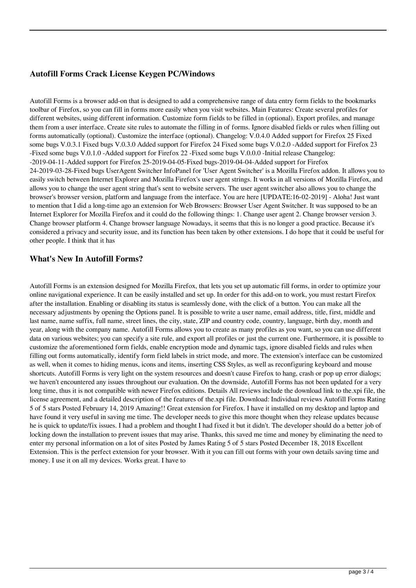# **Autofill Forms Crack License Keygen PC/Windows**

Autofill Forms is a browser add-on that is designed to add a comprehensive range of data entry form fields to the bookmarks toolbar of Firefox, so you can fill in forms more easily when you visit websites. Main Features: Create several profiles for different websites, using different information. Customize form fields to be filled in (optional). Export profiles, and manage them from a user interface. Create site rules to automate the filling in of forms. Ignore disabled fields or rules when filling out forms automatically (optional). Customize the interface (optional). Changelog: V.0.4.0 Added support for Firefox 25 Fixed some bugs V.0.3.1 Fixed bugs V.0.3.0 Added support for Firefox 24 Fixed some bugs V.0.2.0 -Added support for Firefox 23 -Fixed some bugs V.0.1.0 -Added support for Firefox 22 -Fixed some bugs V.0.0.0 -Initial release Changelog: -2019-04-11-Added support for Firefox 25-2019-04-05-Fixed bugs-2019-04-04-Added support for Firefox 24-2019-03-28-Fixed bugs UserAgent Switcher InfoPanel for 'User Agent Switcher' is a Mozilla Firefox addon. It allows you to easily switch between Internet Explorer and Mozilla Firefox's user agent strings. It works in all versions of Mozilla Firefox, and allows you to change the user agent string that's sent to website servers. The user agent switcher also allows you to change the browser's browser version, platform and language from the interface. You are here [UPDATE:16-02-2019] - Aloha! Just want to mention that I did a long-time ago an extension for Web Browsers: Browser User Agent Switcher. It was supposed to be an Internet Explorer for Mozilla Firefox and it could do the following things: 1. Change user agent 2. Change browser version 3. Change browser platform 4. Change browser language Nowadays, it seems that this is no longer a good practice. Because it's considered a privacy and security issue, and its function has been taken by other extensions. I do hope that it could be useful for other people. I think that it has

# **What's New In Autofill Forms?**

Autofill Forms is an extension designed for Mozilla Firefox, that lets you set up automatic fill forms, in order to optimize your online navigational experience. It can be easily installed and set up. In order for this add-on to work, you must restart Firefox after the installation. Enabling or disabling its status is seamlessly done, with the click of a button. You can make all the necessary adjustments by opening the Options panel. It is possible to write a user name, email address, title, first, middle and last name, name suffix, full name, street lines, the city, state, ZIP and country code, country, language, birth day, month and year, along with the company name. Autofill Forms allows you to create as many profiles as you want, so you can use different data on various websites; you can specify a site rule, and export all profiles or just the current one. Furthermore, it is possible to customize the aforementioned form fields, enable encryption mode and dynamic tags, ignore disabled fields and rules when filling out forms automatically, identify form field labels in strict mode, and more. The extension's interface can be customized as well, when it comes to hiding menus, icons and items, inserting CSS Styles, as well as reconfiguring keyboard and mouse shortcuts. Autofill Forms is very light on the system resources and doesn't cause Firefox to hang, crash or pop up error dialogs; we haven't encountered any issues throughout our evaluation. On the downside, Autofill Forms has not been updated for a very long time, thus it is not compatible with newer Firefox editions. Details All reviews include the download link to the.xpi file, the license agreement, and a detailed description of the features of the.xpi file. Download: Individual reviews Autofill Forms Rating 5 of 5 stars Posted February 14, 2019 Amazing!! Great extension for Firefox. I have it installed on my desktop and laptop and have found it very useful in saving me time. The developer needs to give this more thought when they release updates because he is quick to update/fix issues. I had a problem and thought I had fixed it but it didn't. The developer should do a better job of locking down the installation to prevent issues that may arise. Thanks, this saved me time and money by eliminating the need to enter my personal information on a lot of sites Posted by James Rating 5 of 5 stars Posted December 18, 2018 Excellent Extension. This is the perfect extension for your browser. With it you can fill out forms with your own details saving time and money. I use it on all my devices. Works great. I have to